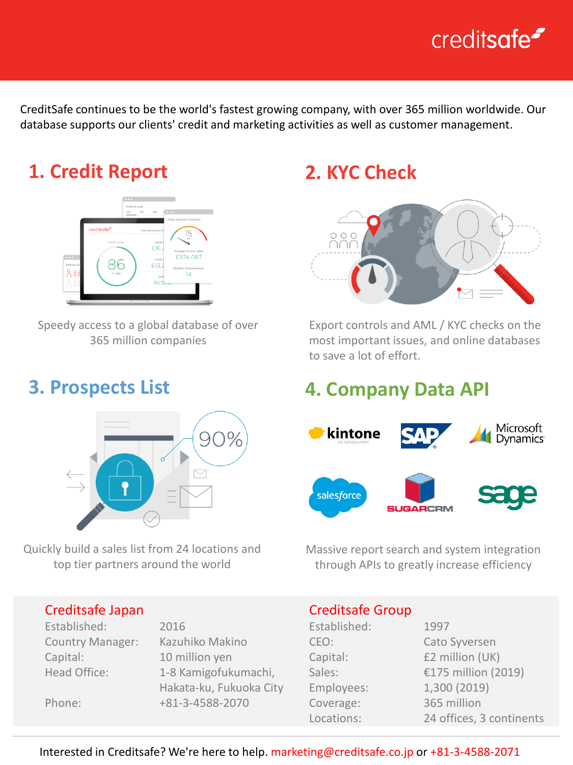# creditsafe<sup>-</sup>

CreditSafe continues to be the world's fastest growing company, with over 365 million worldwide. Our database supports our clients' credit and marketing activities as well as customer management.

## **1. Credit Report**



Speedy access to a global database of over 365 million companies

### **3. Prospects List**



Quickly build a sales list from 24 locations and top tier partners around the world

#### Creditsafe Japan

Established: 2016 Country Manager: Kazuhiko Makino Capital: 10 million yen

Head Office: 1-8 Kamigofukumachi, Hakata-ku, Fukuoka City Phone: +81-3-4588-2070

## **2. KYC Check**



Export controls and AML / KYC checks on the most important issues, and online databases to save a lot of effort.

### **4. Company Data API**



Massive report search and system integration through APIs to greatly increase efficiency

#### Creditsafe Group

| Established: | 1997                     |
|--------------|--------------------------|
| CEO:         | Cato Syversen            |
| Capital:     | £2 million (UK)          |
| Sales:       | €175 million (2019)      |
| Employees:   | 1,300 (2019)             |
| Coverage:    | 365 million              |
| Locations:   | 24 offices, 3 continents |

Interested in Creditsafe? We're here to help. marketing@creditsafe.co.jp or +81-3-4588-2071